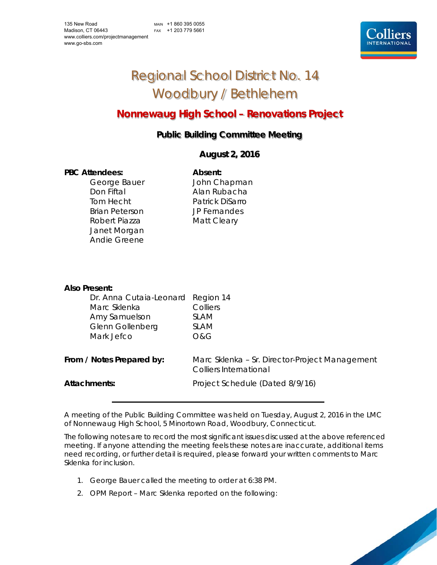MAIN +1 860 395 0055 FAX +1 203 779 5661



# Regional School District No. 14 Woodbury / Bethlehem

## **Nonnewaug High School – Renovations Project**

## **Public Building Committee Meeting**

### **August 2, 2016**

#### PBC Attendees: **Absent: Absent:**

Don Fiftal **Alan Rubacha** Tom Hecht Patrick DiSarro Brian Peterson JP Fernandes Robert Piazza Matt Cleary Janet Morgan Andie Greene

George Bauer **John Chapman** 

| Also Present:                           |                                                                          |
|-----------------------------------------|--------------------------------------------------------------------------|
| Dr. Anna Cutaia-Leonard<br>Marc Sklenka | Region 14<br>Colliers                                                    |
| Amy Samuelson                           | <b>SLAM</b>                                                              |
| Glenn Gollenberg<br>Mark Jefco          | <b>SLAM</b><br>O&G                                                       |
|                                         |                                                                          |
| From / Notes Prepared by:               | Marc Sklenka - Sr. Director-Project Management<br>Colliers International |
| Attachments:                            | Project Schedule (Dated 8/9/16)                                          |

A meeting of the Public Building Committee was held on Tuesday, August 2, 2016 in the LMC of Nonnewaug High School, 5 Minortown Road, Woodbury, Connecticut.

The following notes are to record the most significant issues discussed at the above referenced meeting. If anyone attending the meeting feels these notes are inaccurate, additional items need recording, or further detail is required, please forward your written comments to Marc Sklenka for inclusion.

- 1. George Bauer called the meeting to order at 6:38 PM.
- 2. OPM Report Marc Sklenka reported on the following: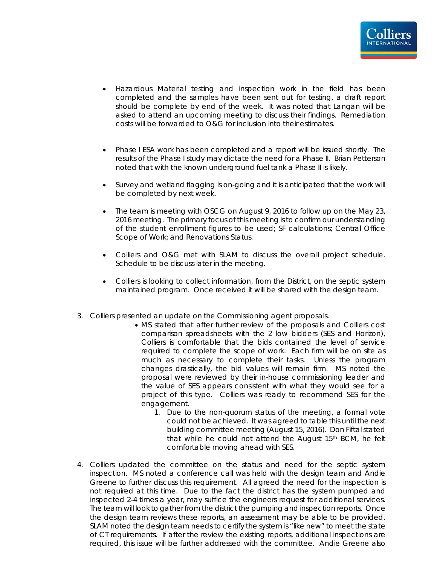- Hazardous Material testing and inspection work in the field has been completed and the samples have been sent out for testing, a draft report should be complete by end of the week. It was noted that Langan will be asked to attend an upcoming meeting to discuss their findings. Remediation costs will be forwarded to O&G for inclusion into their estimates.
- Phase I ESA work has been completed and a report will be issued shortly. The results of the Phase I study may dictate the need for a Phase II. Brian Petterson noted that with the known underground fuel tank a Phase II is likely.
- Survey and wetland flagging is on-going and it is anticipated that the work will be completed by next week.
- The team is meeting with OSCG on August 9, 2016 to follow up on the May 23, 2016 meeting. The primary focus of this meeting is to confirm our understanding of the student enrollment figures to be used; SF calculations; Central Office Scope of Work; and Renovations Status.
- Colliers and O&G met with SLAM to discuss the overall project schedule. Schedule to be discuss later in the meeting.
- Colliers is looking to collect information, from the District, on the septic system maintained program. Once received it will be shared with the design team.
- 3. Colliers presented an update on the Commissioning agent proposals.
	- MS stated that after further review of the proposals and Colliers cost comparison spreadsheets with the 2 low bidders (SES and Horizon), Colliers is comfortable that the bids contained the level of service required to complete the scope of work. Each firm will be on site as much as necessary to complete their tasks. Unless the program changes drastically, the bid values will remain firm. MS noted the proposal were reviewed by their in-house commissioning leader and the value of SES appears consistent with what they would see for a project of this type. Colliers was ready to recommend SES for the engagement.
		- 1. Due to the non-quorum status of the meeting, a formal vote could not be achieved. It was agreed to table this until the next building committee meeting (August 15, 2016). Don Fiftal stated that while he could not attend the August 15th BCM, he felt comfortable moving ahead with SES.
- 4. Colliers updated the committee on the status and need for the septic system inspection. MS noted a conference call was held with the design team and Andie Greene to further discuss this requirement. All agreed the need for the inspection is not required at this time. Due to the fact the district has the system pumped and inspected 2-4 times a year, may suffice the engineers request for additional services. The team will look to gather from the district the pumping and inspection reports. Once the design team reviews these reports, an assessment may be able to be provided. SLAM noted the design team needs to certify the system is "like new" to meet the state of CT requirements. If after the review the existing reports, additional inspections are required, this issue will be further addressed with the committee. Andie Greene also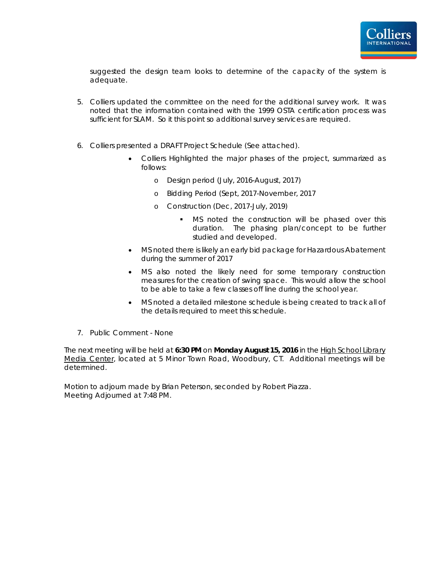suggested the design team looks to determine of the capacity of the system is adequate.

- 5. Colliers updated the committee on the need for the additional survey work. It was noted that the information contained with the 1999 OSTA certification process was sufficient for SLAM. So it this point so additional survey services are required.
- 6. Colliers presented a DRAFT Project Schedule (See attached).
	- Colliers Highlighted the major phases of the project, summarized as follows:
		- o Design period (July, 2016-August, 2017)
		- o Bidding Period (Sept, 2017-November, 2017
		- o Construction (Dec, 2017-July, 2019)
			- MS noted the construction will be phased over this duration. The phasing plan/concept to be further studied and developed.
	- MS noted there is likely an early bid package for Hazardous Abatement during the summer of 2017
	- MS also noted the likely need for some temporary construction measures for the creation of swing space. This would allow the school to be able to take a few classes off line during the school year.
	- MS noted a detailed milestone schedule is being created to track all of the details required to meet this schedule.
- 7. Public Comment None

The next meeting will be held at **6:30 PM** on **Monday August 15, 2016** in the High School Library Media Center, located at 5 Minor Town Road, Woodbury, CT. Additional meetings will be determined.

Motion to adjourn made by Brian Peterson, seconded by Robert Piazza. Meeting Adjourned at 7:48 PM.